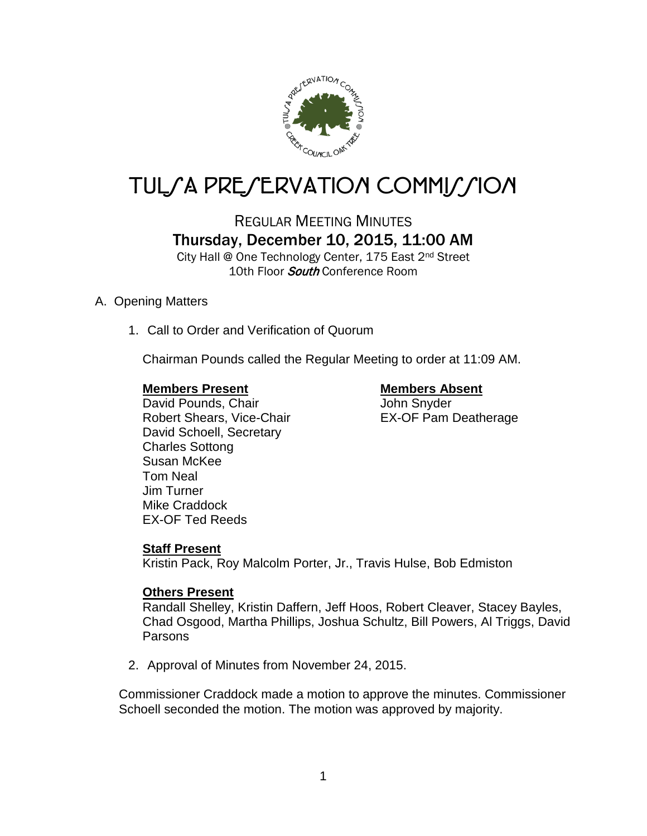

# TUL*SA PRESERVATION COMMISSION*

REGULAR MEETING MINUTES Thursday, December 10, 2015, 11:00 AM

City Hall @ One Technology Center, 175 East 2nd Street 10th Floor *South* Conference Room

# A. Opening Matters

1. Call to Order and Verification of Quorum

Chairman Pounds called the Regular Meeting to order at 11:09 AM.

#### **Members Present Members Absent**

David Pounds, Chair **John Snyder** Robert Shears, Vice-Chair **EX-OF Pam Deatherage** David Schoell, Secretary Charles Sottong Susan McKee Tom Neal Jim Turner Mike Craddock EX-OF Ted Reeds

### **Staff Present**

Kristin Pack, Roy Malcolm Porter, Jr., Travis Hulse, Bob Edmiston

### **Others Present**

Randall Shelley, Kristin Daffern, Jeff Hoos, Robert Cleaver, Stacey Bayles, Chad Osgood, Martha Phillips, Joshua Schultz, Bill Powers, Al Triggs, David Parsons

2. Approval of Minutes from November 24, 2015.

Commissioner Craddock made a motion to approve the minutes. Commissioner Schoell seconded the motion. The motion was approved by majority.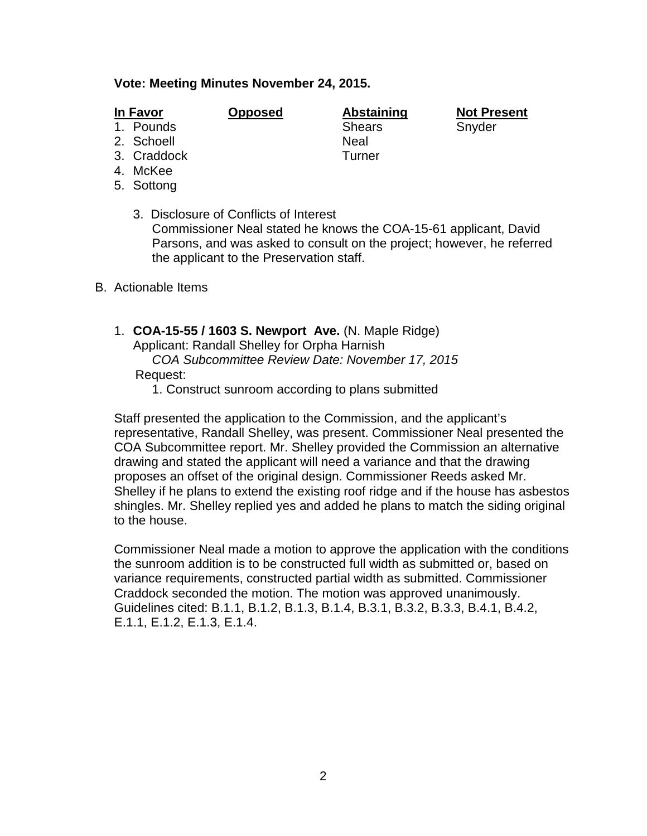#### **Vote: Meeting Minutes November 24, 2015.**

- 
- 
- 3. Craddock Turner
- 4. McKee
- 5. Sottong
	- 3. Disclosure of Conflicts of Interest Commissioner Neal stated he knows the COA-15-61 applicant, David Parsons, and was asked to consult on the project; however, he referred the applicant to the Preservation staff.
- B. Actionable Items
	- 1. **COA-15-55 / 1603 S. Newport Ave.** (N. Maple Ridge) Applicant: Randall Shelley for Orpha Harnish

 *COA Subcommittee Review Date: November 17, 2015* Request:

1. Construct sunroom according to plans submitted

Staff presented the application to the Commission, and the applicant's representative, Randall Shelley, was present. Commissioner Neal presented the COA Subcommittee report. Mr. Shelley provided the Commission an alternative drawing and stated the applicant will need a variance and that the drawing proposes an offset of the original design. Commissioner Reeds asked Mr. Shelley if he plans to extend the existing roof ridge and if the house has asbestos shingles. Mr. Shelley replied yes and added he plans to match the siding original to the house.

Commissioner Neal made a motion to approve the application with the conditions the sunroom addition is to be constructed full width as submitted or, based on variance requirements, constructed partial width as submitted. Commissioner Craddock seconded the motion. The motion was approved unanimously. Guidelines cited: B.1.1, B.1.2, B.1.3, B.1.4, B.3.1, B.3.2, B.3.3, B.4.1, B.4.2, E.1.1, E.1.2, E.1.3, E.1.4.

1. Pounds Shears Shears Snyder 2. Schoell Neal

**In Favor Opposed Abstaining Not Present**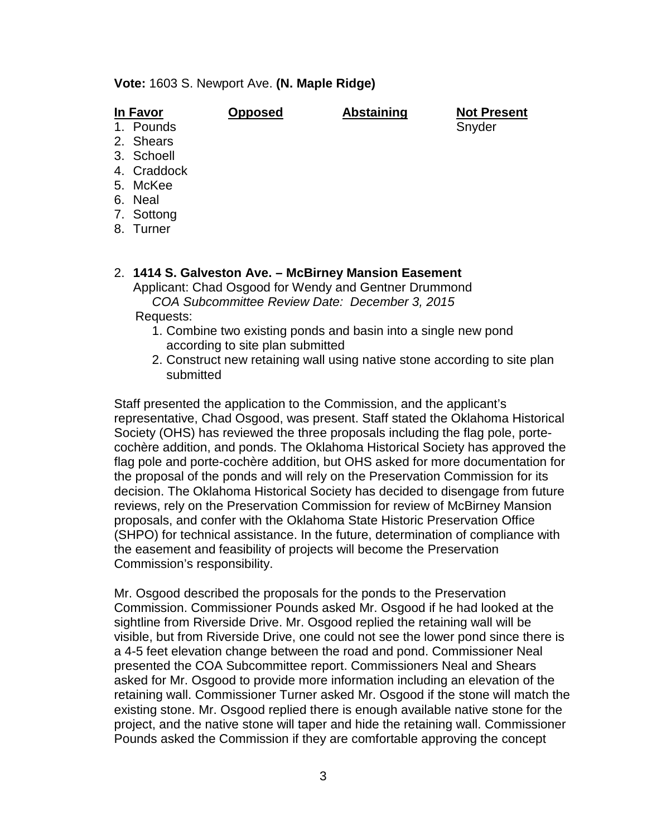#### **Vote:** 1603 S. Newport Ave. **(N. Maple Ridge)**

**In Favor Opposed Abstaining Not Present**

- 1. Pounds Snyder Snyder Snyder
- 2. Shears
- 3. Schoell
- 4. Craddock
- 5. McKee
- 6. Neal
- 7. Sottong
- 8. Turner
- 2. **1414 S. Galveston Ave. – McBirney Mansion Easement** Applicant: Chad Osgood for Wendy and Gentner Drummond *COA Subcommittee Review Date: December 3, 2015*

Requests:

- 1. Combine two existing ponds and basin into a single new pond according to site plan submitted
- 2. Construct new retaining wall using native stone according to site plan submitted

Staff presented the application to the Commission, and the applicant's representative, Chad Osgood, was present. Staff stated the Oklahoma Historical Society (OHS) has reviewed the three proposals including the flag pole, portecochère addition, and ponds. The Oklahoma Historical Society has approved the flag pole and porte-cochère addition, but OHS asked for more documentation for the proposal of the ponds and will rely on the Preservation Commission for its decision. The Oklahoma Historical Society has decided to disengage from future reviews, rely on the Preservation Commission for review of McBirney Mansion proposals, and confer with the Oklahoma State Historic Preservation Office (SHPO) for technical assistance. In the future, determination of compliance with the easement and feasibility of projects will become the Preservation Commission's responsibility.

Mr. Osgood described the proposals for the ponds to the Preservation Commission. Commissioner Pounds asked Mr. Osgood if he had looked at the sightline from Riverside Drive. Mr. Osgood replied the retaining wall will be visible, but from Riverside Drive, one could not see the lower pond since there is a 4-5 feet elevation change between the road and pond. Commissioner Neal presented the COA Subcommittee report. Commissioners Neal and Shears asked for Mr. Osgood to provide more information including an elevation of the retaining wall. Commissioner Turner asked Mr. Osgood if the stone will match the existing stone. Mr. Osgood replied there is enough available native stone for the project, and the native stone will taper and hide the retaining wall. Commissioner Pounds asked the Commission if they are comfortable approving the concept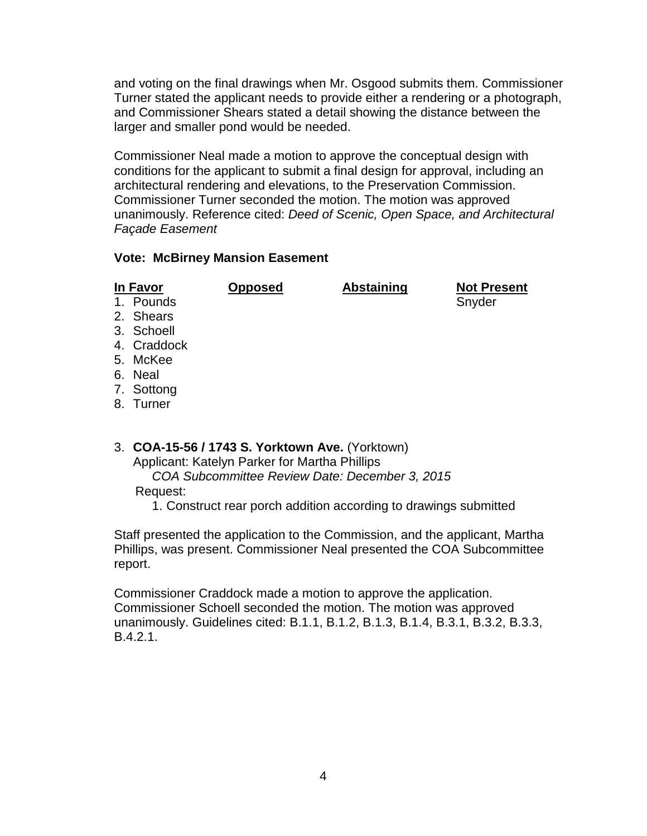and voting on the final drawings when Mr. Osgood submits them. Commissioner Turner stated the applicant needs to provide either a rendering or a photograph, and Commissioner Shears stated a detail showing the distance between the larger and smaller pond would be needed.

Commissioner Neal made a motion to approve the conceptual design with conditions for the applicant to submit a final design for approval, including an architectural rendering and elevations, to the Preservation Commission. Commissioner Turner seconded the motion. The motion was approved unanimously. Reference cited: *Deed of Scenic, Open Space, and Architectural Façade Easement*

### **Vote: McBirney Mansion Easement**

| In Favor |             | <b>Opposed</b> | <b>Abstaining</b> | <b>Not Present</b> |
|----------|-------------|----------------|-------------------|--------------------|
|          | 1. Pounds   |                |                   | Snyder             |
|          | 2. Shears   |                |                   |                    |
|          | 3. Schoell  |                |                   |                    |
|          | 4. Craddock |                |                   |                    |
|          | 5. McKee    |                |                   |                    |
|          | 6. Neal     |                |                   |                    |

7. Sottong

- 8. Turner
- 3. **COA-15-56 / 1743 S. Yorktown Ave.** (Yorktown) Applicant: Katelyn Parker for Martha Phillips *COA Subcommittee Review Date: December 3, 2015* Request:
	- 1. Construct rear porch addition according to drawings submitted

Staff presented the application to the Commission, and the applicant, Martha Phillips, was present. Commissioner Neal presented the COA Subcommittee report.

Commissioner Craddock made a motion to approve the application. Commissioner Schoell seconded the motion. The motion was approved unanimously. Guidelines cited: B.1.1, B.1.2, B.1.3, B.1.4, B.3.1, B.3.2, B.3.3, B.4.2.1.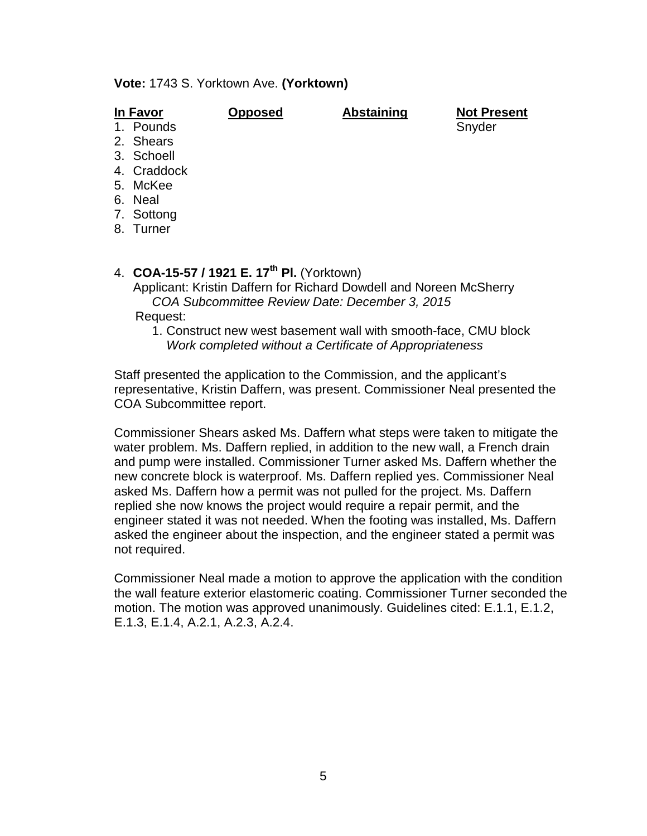#### **Vote:** 1743 S. Yorktown Ave. **(Yorktown)**

| In Favor |  |  |
|----------|--|--|
|          |  |  |

**In Favor Opposed Abstaining Not Present** 1. Pounds and the state of the state of the Snyder

- 2. Shears
- 3. Schoell
- 4. Craddock
- 
- 5. McKee
- 6. Neal
- 7. Sottong
- 8. Turner

# 4. **COA-15-57 / 1921 E. 17th Pl.** (Yorktown)

Applicant: Kristin Daffern for Richard Dowdell and Noreen McSherry *COA Subcommittee Review Date: December 3, 2015*

Request:

1. Construct new west basement wall with smooth-face, CMU block *Work completed without a Certificate of Appropriateness*

Staff presented the application to the Commission, and the applicant's representative, Kristin Daffern, was present. Commissioner Neal presented the COA Subcommittee report.

Commissioner Shears asked Ms. Daffern what steps were taken to mitigate the water problem. Ms. Daffern replied, in addition to the new wall, a French drain and pump were installed. Commissioner Turner asked Ms. Daffern whether the new concrete block is waterproof. Ms. Daffern replied yes. Commissioner Neal asked Ms. Daffern how a permit was not pulled for the project. Ms. Daffern replied she now knows the project would require a repair permit, and the engineer stated it was not needed. When the footing was installed, Ms. Daffern asked the engineer about the inspection, and the engineer stated a permit was not required.

Commissioner Neal made a motion to approve the application with the condition the wall feature exterior elastomeric coating. Commissioner Turner seconded the motion. The motion was approved unanimously. Guidelines cited: E.1.1, E.1.2, E.1.3, E.1.4, A.2.1, A.2.3, A.2.4.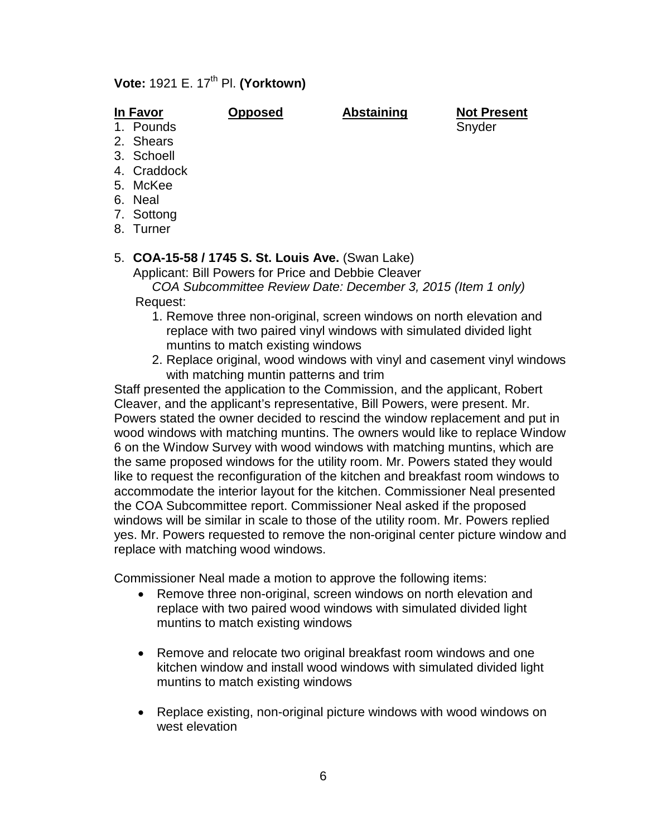# **Vote:** 1921 E. 17<sup>th</sup> Pl. **(Yorktown)**

- 2. Shears
- 3. Schoell
- 4. Craddock
- 5. McKee
- 6. Neal
- 
- 7. Sottong
- 8. Turner

# 5. **COA-15-58 / 1745 S. St. Louis Ave.** (Swan Lake)

Applicant: Bill Powers for Price and Debbie Cleaver *COA Subcommittee Review Date: December 3, 2015 (Item 1 only)*

Request:

- 1. Remove three non-original, screen windows on north elevation and replace with two paired vinyl windows with simulated divided light muntins to match existing windows
- 2. Replace original, wood windows with vinyl and casement vinyl windows with matching muntin patterns and trim

Staff presented the application to the Commission, and the applicant, Robert Cleaver, and the applicant's representative, Bill Powers, were present. Mr. Powers stated the owner decided to rescind the window replacement and put in wood windows with matching muntins. The owners would like to replace Window 6 on the Window Survey with wood windows with matching muntins, which are the same proposed windows for the utility room. Mr. Powers stated they would like to request the reconfiguration of the kitchen and breakfast room windows to accommodate the interior layout for the kitchen. Commissioner Neal presented the COA Subcommittee report. Commissioner Neal asked if the proposed windows will be similar in scale to those of the utility room. Mr. Powers replied yes. Mr. Powers requested to remove the non-original center picture window and replace with matching wood windows.

Commissioner Neal made a motion to approve the following items:

- Remove three non-original, screen windows on north elevation and replace with two paired wood windows with simulated divided light muntins to match existing windows
- Remove and relocate two original breakfast room windows and one kitchen window and install wood windows with simulated divided light muntins to match existing windows
- Replace existing, non-original picture windows with wood windows on west elevation

**In Favor Opposed Abstaining Not Present** 1. Pounds Snyder Snyder Snyder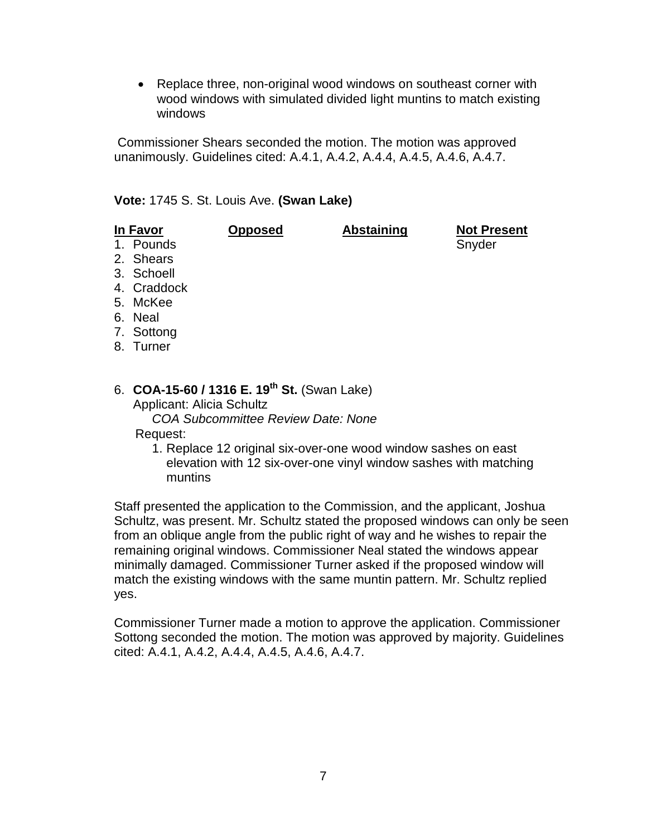• Replace three, non-original wood windows on southeast corner with wood windows with simulated divided light muntins to match existing windows

Commissioner Shears seconded the motion. The motion was approved unanimously. Guidelines cited: A.4.1, A.4.2, A.4.4, A.4.5, A.4.6, A.4.7.

#### **Vote:** 1745 S. St. Louis Ave. **(Swan Lake)**

| In Favor    | <b>Opposed</b> | <b>Abstaining</b> | <b>Not Present</b> |
|-------------|----------------|-------------------|--------------------|
| 1. Pounds   |                |                   | Snyder             |
| 2. Shears   |                |                   |                    |
| 3. Schoell  |                |                   |                    |
| 4. Craddock |                |                   |                    |
| 5. McKee    |                |                   |                    |
| 6. Neal     |                |                   |                    |
| 7. Sottong  |                |                   |                    |
| $\sim$      |                |                   |                    |

8. Turner

# 6. **COA-15-60 / 1316 E. 19th St.** (Swan Lake)

Applicant: Alicia Schultz *COA Subcommittee Review Date: None*

Request:

1. Replace 12 original six-over-one wood window sashes on east elevation with 12 six-over-one vinyl window sashes with matching muntins

Staff presented the application to the Commission, and the applicant, Joshua Schultz, was present. Mr. Schultz stated the proposed windows can only be seen from an oblique angle from the public right of way and he wishes to repair the remaining original windows. Commissioner Neal stated the windows appear minimally damaged. Commissioner Turner asked if the proposed window will match the existing windows with the same muntin pattern. Mr. Schultz replied yes.

Commissioner Turner made a motion to approve the application. Commissioner Sottong seconded the motion. The motion was approved by majority. Guidelines cited: A.4.1, A.4.2, A.4.4, A.4.5, A.4.6, A.4.7.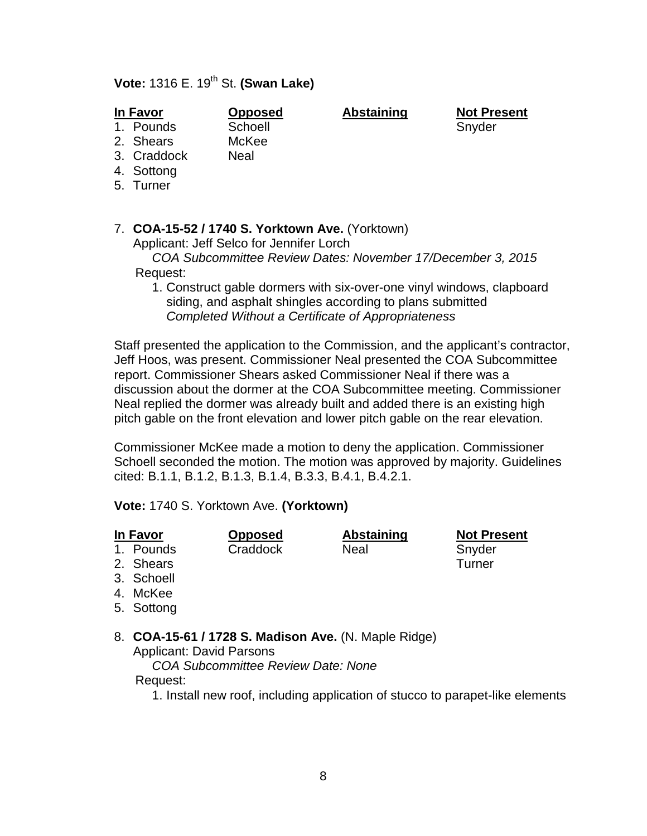# **Vote:** 1316 E. 19th St. **(Swan Lake)**

1. Pounds Schoell Schoell Snyder

- 2. Shears McKee
- 3. Craddock Neal
- 4. Sottong
- 
- 5. Turner

### 7. **COA-15-52 / 1740 S. Yorktown Ave.** (Yorktown)

Applicant: Jeff Selco for Jennifer Lorch

 *COA Subcommittee Review Dates: November 17/December 3, 2015* Request:

1. Construct gable dormers with six-over-one vinyl windows, clapboard siding, and asphalt shingles according to plans submitted *Completed Without a Certificate of Appropriateness*

Staff presented the application to the Commission, and the applicant's contractor, Jeff Hoos, was present. Commissioner Neal presented the COA Subcommittee report. Commissioner Shears asked Commissioner Neal if there was a discussion about the dormer at the COA Subcommittee meeting. Commissioner Neal replied the dormer was already built and added there is an existing high pitch gable on the front elevation and lower pitch gable on the rear elevation.

Commissioner McKee made a motion to deny the application. Commissioner Schoell seconded the motion. The motion was approved by majority. Guidelines cited: B.1.1, B.1.2, B.1.3, B.1.4, B.3.3, B.4.1, B.4.2.1.

**Vote:** 1740 S. Yorktown Ave. **(Yorktown)**

- 
- 

1. Pounds Craddock Neal Snyder

**In Favor Opposed Abstaining Not Present**

- 2. Shears Turner
- 3. Schoell
- 4. McKee
- 5. Sottong
- 8. **COA-15-61 / 1728 S. Madison Ave.** (N. Maple Ridge) Applicant: David Parsons
	- *COA Subcommittee Review Date: None*

# Request:

1. Install new roof, including application of stucco to parapet-like elements

**In Favor Opposed Abstaining Not Present**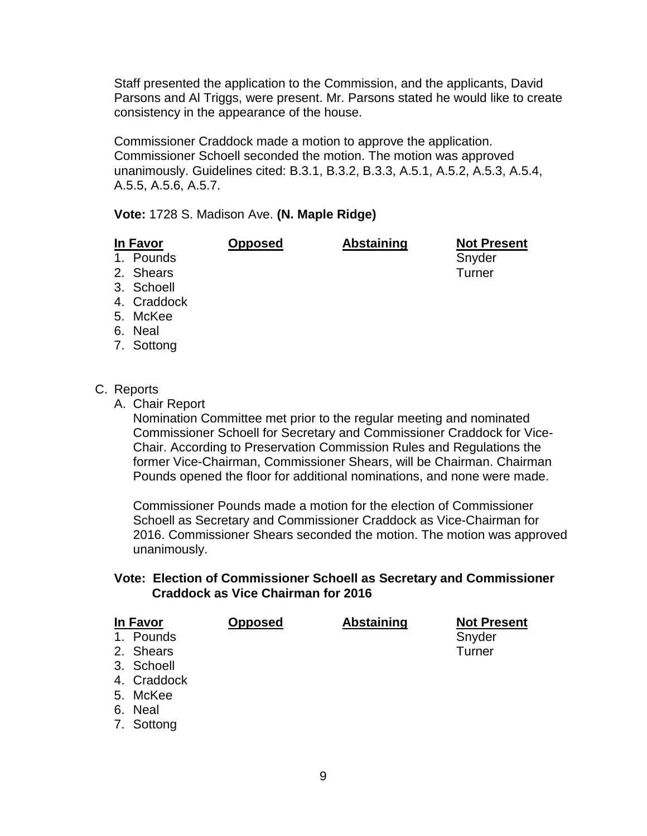Staff presented the application to the Commission, and the applicants, David Parsons and Al Triggs, were present. Mr. Parsons stated he would like to create consistency in the appearance of the house.

Commissioner Craddock made a motion to approve the application. Commissioner Schoell seconded the motion. The motion was approved unanimously. Guidelines cited: B.3.1, B.3.2, B.3.3, A.5.1, A.5.2, A.5.3, A.5.4, A.5.5, A.5.6, A.5.7.

**Vote:** 1728 S. Madison Ave. **(N. Maple Ridge)**

| In Favor |             | <b>Opposed</b> | <b>Abstaining</b> | <b>Not Present</b> |
|----------|-------------|----------------|-------------------|--------------------|
|          | 1. Pounds   |                |                   | Snyder             |
|          | 2. Shears   |                |                   | Turner             |
|          | 3. Schoell  |                |                   |                    |
|          | 4. Craddock |                |                   |                    |
|          | 5. McKee    |                |                   |                    |
|          | 6. Neal     |                |                   |                    |
|          | 7. Sottong  |                |                   |                    |

### C. Reports

A. Chair Report

Nomination Committee met prior to the regular meeting and nominated Commissioner Schoell for Secretary and Commissioner Craddock for Vice-Chair. According to Preservation Commission Rules and Regulations the former Vice-Chairman, Commissioner Shears, will be Chairman. Chairman Pounds opened the floor for additional nominations, and none were made.

Commissioner Pounds made a motion for the election of Commissioner Schoell as Secretary and Commissioner Craddock as Vice-Chairman for 2016. Commissioner Shears seconded the motion. The motion was approved unanimously.

### **Vote: Election of Commissioner Schoell as Secretary and Commissioner Craddock as Vice Chairman for 2016**

| <b>In Favor</b> | <b>Opposed</b> | <b>Abstaining</b> | <b>Not Present</b> |
|-----------------|----------------|-------------------|--------------------|
| 1. Pounds       |                |                   | Snyder             |
| 2. Shears       |                |                   | <b>Turner</b>      |
| 3. Schoell      |                |                   |                    |
| 4. Craddock     |                |                   |                    |
| 5. McKee        |                |                   |                    |
| 6. Neal         |                |                   |                    |

9

7. Sottong